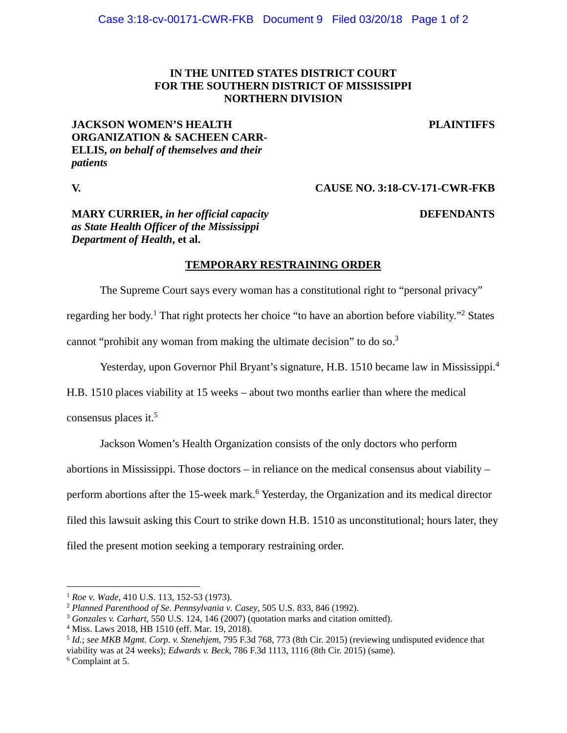### **IN THE UNITED STATES DISTRICT COURT FOR THE SOUTHERN DISTRICT OF MISSISSIPPI NORTHERN DIVISION**

### **JACKSON WOMEN'S HEALTH ORGANIZATION & SACHEEN CARR-ELLIS,** *on behalf of themselves and their patients*

**PLAINTIFFS**

### **V. CAUSE NO. 3:18-CV-171-CWR-FKB**

# **MARY CURRIER,** *in her official capacity as State Health Officer of the Mississippi Department of Health***, et al.**

### **DEFENDANTS**

## **TEMPORARY RESTRAINING ORDER**

The Supreme Court says every woman has a constitutional right to "personal privacy" regarding her body.<sup>1</sup> That right protects her choice "to have an abortion before viability."<sup>2</sup> States cannot "prohibit any woman from making the ultimate decision" to do so.3

Yesterday, upon Governor Phil Bryant's signature, H.B. 1510 became law in Mississippi.<sup>4</sup>

H.B. 1510 places viability at 15 weeks – about two months earlier than where the medical

consensus places it. $5$ 

Jackson Women's Health Organization consists of the only doctors who perform

abortions in Mississippi. Those doctors – in reliance on the medical consensus about viability –

perform abortions after the 15-week mark.<sup>6</sup> Yesterday, the Organization and its medical director

filed this lawsuit asking this Court to strike down H.B. 1510 as unconstitutional; hours later, they

filed the present motion seeking a temporary restraining order.

Complaint at 5.

 $\overline{a}$ 

<sup>&</sup>lt;sup>1</sup> Roe v. Wade, 410 U.S. 113, 152-53 (1973).<br><sup>2</sup> Planned Parenthood of Se. Pennsylvania v. Casey, 505 U.S. 833, 846 (1992).<br><sup>3</sup> Gonzales v. Carhart, 550 U.S. 124, 146 (2007) (quotation marks and citation omitted).

Miss. Laws 2018, HB 1510 (eff. Mar. 19, 2018).

<sup>5</sup> *Id.*; *see MKB Mgmt. Corp. v. Stenehjem*, 795 F.3d 768, 773 (8th Cir. 2015) (reviewing undisputed evidence that viability was at 24 weeks); *Edwards v. Beck*, 786 F.3d 1113, 1116 (8th Cir. 2015) (same). 6